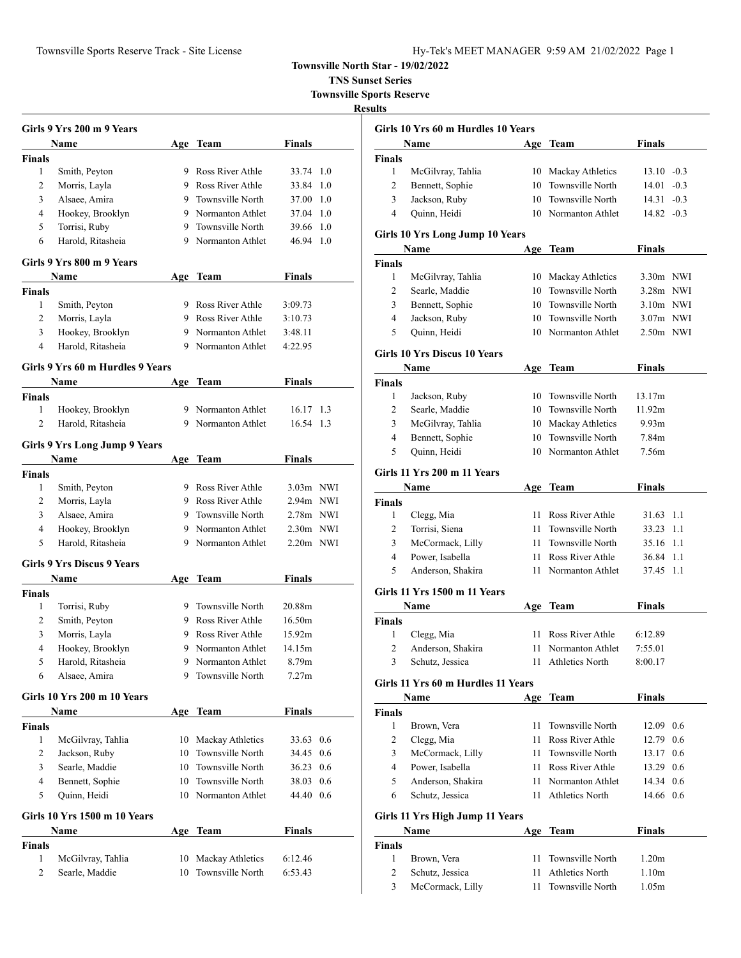**TNS Sunset Series**

**Townsville Sports Reserve**

|                    | Girls 9 Yrs 200 m 9 Years         |     |                         |               |     |
|--------------------|-----------------------------------|-----|-------------------------|---------------|-----|
|                    | Name                              | Age | Team                    | Finals        |     |
| <b>Finals</b>      |                                   |     |                         |               |     |
| $\mathbf{1}$       | Smith, Peyton                     |     | 9 Ross River Athle      | 33.74         | 1.0 |
| 2                  | Morris, Layla                     |     | 9 Ross River Athle      | 33.84         | 1.0 |
| 3                  | Alsaee, Amira                     | 9.  | <b>Townsville North</b> | 37.00 1.0     |     |
| 4                  | Hookey, Brooklyn                  |     | 9 Normanton Athlet      | 37.04 1.0     |     |
| 5                  | Torrisi, Ruby                     | 9.  | Townsville North        | 39.66 1.0     |     |
| 6                  | Harold, Ritasheia                 |     | 9 Normanton Athlet      | 46.94         | 1.0 |
|                    | Girls 9 Yrs 800 m 9 Years         |     |                         |               |     |
|                    | Name                              | Age | Team                    | <b>Finals</b> |     |
| <b>Finals</b>      |                                   |     |                         |               |     |
| 1                  | Smith, Peyton                     |     | 9 Ross River Athle      | 3:09.73       |     |
| 2                  | Morris, Layla                     |     | 9 Ross River Athle      | 3:10.73       |     |
| 3                  | Hookey, Brooklyn                  | 9.  | Normanton Athlet        | 3:48.11       |     |
| 4                  | Harold, Ritasheia                 | 9.  | Normanton Athlet        | 4:22.95       |     |
|                    | Girls 9 Yrs 60 m Hurdles 9 Years  |     |                         |               |     |
|                    | Name                              | Age | Team                    | Finals        |     |
| <b>Finals</b>      |                                   |     |                         |               |     |
| 1                  | Hookey, Brooklyn                  |     | 9 Normanton Athlet      | 16.17 1.3     |     |
| 2                  | Harold, Ritasheia                 |     | 9 Normanton Athlet      | 16.54 1.3     |     |
|                    | Girls 9 Yrs Long Jump 9 Years     |     |                         |               |     |
|                    | Name                              |     | Age Team                | <b>Finals</b> |     |
|                    |                                   |     |                         |               |     |
| <b>Finals</b><br>1 |                                   |     | 9 Ross River Athle      | 3.03m NWI     |     |
|                    | Smith, Peyton                     |     | 9 Ross River Athle      |               |     |
| 2                  | Morris, Layla                     | 9   |                         | 2.94m NWI     |     |
| 3                  | Alsaee, Amira                     |     | Townsville North        | 2.78m NWI     |     |
| 4                  | Hookey, Brooklyn                  |     | 9 Normanton Athlet      | $2.30m$ NWI   |     |
| 5                  | Harold, Ritasheia                 |     | 9 Normanton Athlet      | $2.20m$ NWI   |     |
|                    | <b>Girls 9 Yrs Discus 9 Years</b> |     |                         |               |     |
|                    | Name                              | Age | Team                    | Finals        |     |
| <b>Finals</b>      |                                   |     |                         |               |     |
| 1                  | Torrisi, Ruby                     | 9.  | Townsville North        | 20.88m        |     |
| 2                  | Smith, Peyton                     |     | 9 Ross River Athle      | 16.50m        |     |
| 3                  | Morris, Layla                     |     | 9 Ross River Athle      | 15.92m        |     |
| 4                  | Hookey, Brooklyn                  | 9   | Normanton Athlet        | 14.15m        |     |
| 5                  | Harold, Ritasheia                 | 9.  | Normanton Athlet        | 8.79m         |     |
| 6                  | Alsaee, Amira                     | 9.  | Townsville North        | 7.27m         |     |
|                    | Girls 10 Yrs 200 m 10 Years       |     |                         |               |     |
|                    | <b>Name</b>                       |     | Age Team                | <b>Finals</b> |     |
| <b>Finals</b>      |                                   |     |                         |               |     |
| 1                  | McGilvray, Tahlia                 | 10  | Mackay Athletics        | 33.63         | 0.6 |
| 2                  | Jackson, Ruby                     | 10  | Townsville North        | 34.45         | 0.6 |
| 3                  | Searle, Maddie                    | 10  | Townsville North        | 36.23         | 0.6 |
| $\overline{4}$     | Bennett, Sophie                   | 10  | Townsville North        | 38.03         | 0.6 |
| 5                  | Quinn, Heidi                      | 10  | Normanton Athlet        | 44.40 0.6     |     |
|                    | Girls 10 Yrs 1500 m 10 Years      |     |                         |               |     |
|                    | Name                              |     | Age Team                | <b>Finals</b> |     |
| Finals             |                                   |     |                         |               |     |
| 1                  | McGilvray, Tahlia                 | 10  | Mackay Athletics        | 6:12.46       |     |
| 2                  | Searle, Maddie                    | 10  | Townsville North        | 6:53.43       |     |

|                | Girls 10 Yrs 60 m Hurdles 10 Years  |      |                         |                   |        |
|----------------|-------------------------------------|------|-------------------------|-------------------|--------|
|                | Name                                | Age  | Team                    | Finals            |        |
| Finals         |                                     |      |                         |                   |        |
| 1              | McGilvray, Tahlia                   |      | 10 Mackay Athletics     | $13.10 - 0.3$     |        |
| 2              | Bennett, Sophie                     | 10   | Townsville North        | 14.01             | $-0.3$ |
| 3              | Jackson, Ruby                       | 10   | Townsville North        | 14.31             | $-0.3$ |
| 4              | Quinn, Heidi                        |      | 10 Normanton Athlet     | 14.82             | $-0.3$ |
|                | Girls 10 Yrs Long Jump 10 Years     |      |                         |                   |        |
|                | Name                                | Age  | <b>Team</b>             | Finals            |        |
| <b>Finals</b>  |                                     |      |                         |                   |        |
| 1              | McGilvray, Tahlia                   |      | 10 Mackay Athletics     | 3.30m NWI         |        |
| 2              | Searle, Maddie                      |      | 10 Townsville North     | 3.28m NWI         |        |
| 3              | Bennett, Sophie                     |      | 10 Townsville North     | $3.10m$ NWI       |        |
| 4              | Jackson, Ruby                       |      | 10 Townsville North     | $3.07m$ NWI       |        |
| 5              | Quinn, Heidi                        |      | 10 Normanton Athlet     | 2.50m NWI         |        |
|                | <b>Girls 10 Yrs Discus 10 Years</b> |      |                         |                   |        |
|                | Name                                | Age  | <b>Team</b>             | <b>Finals</b>     |        |
| <b>Finals</b>  |                                     |      |                         |                   |        |
| 1              | Jackson, Ruby                       |      | 10 Townsville North     | 13.17m            |        |
| 2              | Searle, Maddie                      |      | 10 Townsville North     | 11.92m            |        |
| 3              | McGilvray, Tahlia                   |      | 10 Mackay Athletics     | 9.93m             |        |
| 4              | Bennett, Sophie                     | 10   | <b>Townsville North</b> | 7.84m             |        |
| 5              | Quinn, Heidi                        | 10   | Normanton Athlet        | 7.56m             |        |
|                | Girls 11 Yrs 200 m 11 Years         |      |                         |                   |        |
|                | Name                                | Age  | Team                    | Finals            |        |
| <b>Finals</b>  |                                     |      |                         |                   |        |
| 1              | Clegg, Mia                          |      | 11 Ross River Athle     | 31.63 1.1         |        |
| 2              | Torrisi, Siena                      | 11   | Townsville North        | 33.23 1.1         |        |
| 3              | McCormack, Lilly                    | 11.  | Townsville North        | 35.16 1.1         |        |
| 4              | Power, Isabella                     | 11   | Ross River Athle        | 36.84 1.1         |        |
| 5              | Anderson, Shakira                   | 11   | Normanton Athlet        | 37.45             | - 1.1  |
|                | Girls 11 Yrs 1500 m 11 Years        |      |                         |                   |        |
|                | Name                                | Age  | Team                    | <b>Finals</b>     |        |
| <b>Finals</b>  |                                     |      |                         |                   |        |
| 1              | Clegg, Mia                          | 11.  | Ross River Athle        | 6:12.89           |        |
| 2              | Anderson, Shakira                   | 11 - | Normanton Athlet        | 7:55.01           |        |
| $\overline{3}$ | Schutz, Jessica                     |      | 11 Athletics North      | 8:00.17           |        |
|                | Girls 11 Yrs 60 m Hurdles 11 Years  |      |                         |                   |        |
|                | Name                                | Age  | <b>Team</b>             | <b>Finals</b>     |        |
| Finals         |                                     |      |                         |                   |        |
| 1              | Brown, Vera                         | 11   | Townsville North        | 12.09 0.6         |        |
| 2              | Clegg, Mia                          | 11 - | Ross River Athle        | 12.79 0.6         |        |
| 3              | McCormack, Lilly                    |      | 11 Townsville North     | 13.17 0.6         |        |
| 4              | Power, Isabella                     |      | 11 Ross River Athle     | 13.29 0.6         |        |
| 5              | Anderson, Shakira                   |      | 11 Normanton Athlet     | 14.34 0.6         |        |
| 6              | Schutz, Jessica                     | 11   | <b>Athletics North</b>  | 14.66 0.6         |        |
|                | Girls 11 Yrs High Jump 11 Years     |      |                         |                   |        |
|                | Name                                |      | Age Team                | <b>Finals</b>     |        |
| Finals         |                                     |      |                         |                   |        |
| 1              | Brown, Vera                         | 11   | Townsville North        | 1.20 <sub>m</sub> |        |
| 2              | Schutz, Jessica                     | 11   | <b>Athletics North</b>  | 1.10 <sub>m</sub> |        |
| 3              | McCormack, Lilly                    | 11   | Townsville North        | 1.05m             |        |
|                |                                     |      |                         |                   |        |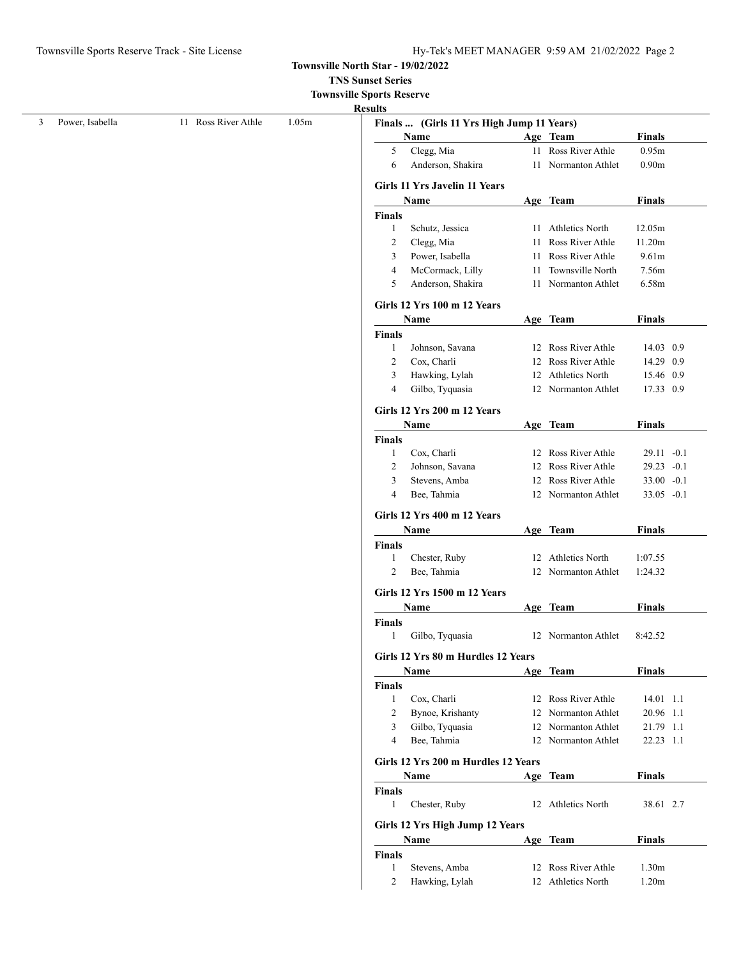# **TNS Sunset Series**

**Townsville Sports Reserve**

| ш |
|---|
|---|

|                 |                     |       | <b>Results</b>         |                                           |    |                     |                        |  |
|-----------------|---------------------|-------|------------------------|-------------------------------------------|----|---------------------|------------------------|--|
| Power, Isabella | 11 Ross River Athle | 1.05m |                        | Finals  (Girls 11 Yrs High Jump 11 Years) |    |                     |                        |  |
|                 |                     |       |                        | Name                                      |    | Age Team            | <b>Finals</b>          |  |
|                 |                     |       | 5                      | Clegg, Mia                                |    | 11 Ross River Athle | 0.95m                  |  |
|                 |                     |       | 6                      | Anderson, Shakira                         |    | 11 Normanton Athlet | 0.90m                  |  |
|                 |                     |       |                        | <b>Girls 11 Yrs Javelin 11 Years</b>      |    |                     |                        |  |
|                 |                     |       |                        | Name                                      |    | Age Team            | <b>Finals</b>          |  |
|                 |                     |       | Finals                 |                                           |    |                     |                        |  |
|                 |                     |       | $\mathbf{1}$           | Schutz, Jessica                           |    | 11 Athletics North  | 12.05m                 |  |
|                 |                     |       | $\overline{2}$         | Clegg, Mia                                | 11 | Ross River Athle    | 11.20m                 |  |
|                 |                     |       | 3                      | Power, Isabella                           | 11 | Ross River Athle    | 9.61m                  |  |
|                 |                     |       | $\overline{4}$         | McCormack, Lilly                          | 11 | Townsville North    | 7.56m                  |  |
|                 |                     |       | 5                      | Anderson, Shakira                         |    | 11 Normanton Athlet | 6.58m                  |  |
|                 |                     |       |                        | <b>Girls 12 Yrs 100 m 12 Years</b>        |    |                     |                        |  |
|                 |                     |       |                        | Name                                      |    | Age Team            | <b>Finals</b>          |  |
|                 |                     |       | Finals                 |                                           |    |                     |                        |  |
|                 |                     |       | -1                     | Johnson, Savana                           |    | 12 Ross River Athle | 14.03 0.9              |  |
|                 |                     |       | $\overline{2}$         | Cox, Charli                               |    | 12 Ross River Athle | 14.29 0.9              |  |
|                 |                     |       | 3                      | Hawking, Lylah                            |    | 12 Athletics North  | 15.46 0.9              |  |
|                 |                     |       | $\overline{4}$         | Gilbo, Tyquasia                           |    | 12 Normanton Athlet | 17.33 0.9              |  |
|                 |                     |       |                        | <b>Girls 12 Yrs 200 m 12 Years</b>        |    |                     |                        |  |
|                 |                     |       |                        | <b>Name</b>                               |    | Age Team            | <b>Finals</b>          |  |
|                 |                     |       | Finals                 |                                           |    |                     |                        |  |
|                 |                     |       | -1                     | Cox, Charli                               |    | 12 Ross River Athle | 29.11 -0.1             |  |
|                 |                     |       | $\overline{c}$         | Johnson, Savana                           |    | 12 Ross River Athle | 29.23 -0.1             |  |
|                 |                     |       | 3                      | Stevens, Amba                             |    | 12 Ross River Athle | $33.00 - 0.1$          |  |
|                 |                     |       | $\overline{4}$         | Bee, Tahmia                               |    | 12 Normanton Athlet | 33.05 -0.1             |  |
|                 |                     |       |                        | Girls 12 Yrs 400 m 12 Years               |    |                     |                        |  |
|                 |                     |       |                        | Name                                      |    | Age Team            | <b>Finals</b>          |  |
|                 |                     |       | <b>Finals</b>          |                                           |    |                     |                        |  |
|                 |                     |       | -1                     | Chester, Ruby                             |    | 12 Athletics North  | 1:07.55                |  |
|                 |                     |       | 2                      | Bee, Tahmia                               |    | 12 Normanton Athlet | 1:24.32                |  |
|                 |                     |       |                        |                                           |    |                     |                        |  |
|                 |                     |       |                        |                                           |    |                     |                        |  |
|                 |                     |       |                        | Girls 12 Yrs 1500 m 12 Years              |    |                     |                        |  |
|                 |                     |       |                        | Name                                      |    | Age Team            | <b>Finals</b>          |  |
|                 |                     |       | Finals<br>$\mathbf{1}$ | Gilbo, Tyquasia                           |    | 12 Normanton Athlet | 8:42.52                |  |
|                 |                     |       |                        | Girls 12 Yrs 80 m Hurdles 12 Years        |    |                     |                        |  |
|                 |                     |       |                        | Name                                      |    | Age Team            | <b>Finals</b>          |  |
|                 |                     |       | Finals                 |                                           |    |                     |                        |  |
|                 |                     |       | -1                     | Cox, Charli                               |    | 12 Ross River Athle | 14.01 1.1              |  |
|                 |                     |       | $\overline{2}$         |                                           |    | 12 Normanton Athlet |                        |  |
|                 |                     |       | 3                      | Bynoe, Krishanty                          |    | 12 Normanton Athlet | 20.96 1.1              |  |
|                 |                     |       | $\overline{4}$         | Gilbo, Tyquasia<br>Bee, Tahmia            |    | 12 Normanton Athlet | 21.79 1.1<br>22.23 1.1 |  |
|                 |                     |       |                        |                                           |    |                     |                        |  |
|                 |                     |       |                        | Girls 12 Yrs 200 m Hurdles 12 Years       |    |                     |                        |  |
|                 |                     |       |                        | <b>Name</b>                               |    | Age Team            | Finals                 |  |
|                 |                     |       | Finals<br>$\mathbf{1}$ | Chester, Ruby                             |    | 12 Athletics North  | 38.61 2.7              |  |
|                 |                     |       |                        |                                           |    |                     |                        |  |
|                 |                     |       |                        | Girls 12 Yrs High Jump 12 Years<br>Name   |    | Age Team            | <b>Finals</b>          |  |
|                 |                     |       | <b>Finals</b>          |                                           |    |                     |                        |  |
|                 |                     |       | -1                     | Stevens, Amba                             |    | 12 Ross River Athle | 1.30 <sub>m</sub>      |  |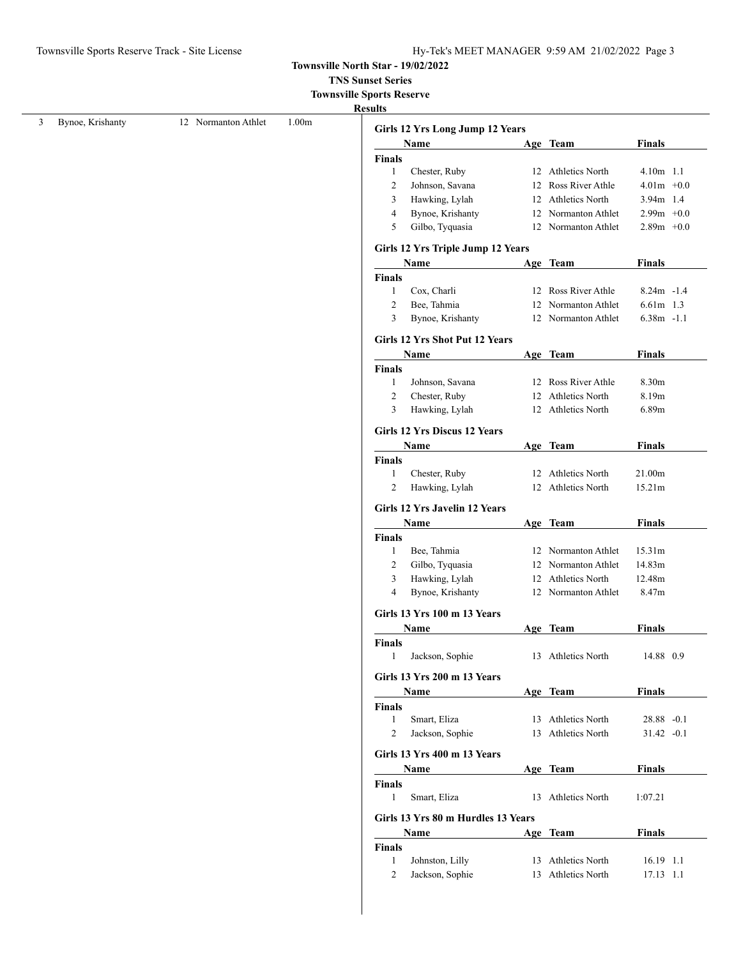**TNS Sunset Series**

**Townsville Sports Reserve**

| Bynoe, Krishanty |                     | 1.00 <sub>m</sub> |                |                                     |    |                     |               |  |
|------------------|---------------------|-------------------|----------------|-------------------------------------|----|---------------------|---------------|--|
|                  | 12 Normanton Athlet |                   |                | Girls 12 Yrs Long Jump 12 Years     |    |                     |               |  |
|                  |                     |                   |                | Name                                |    | Age Team            | <b>Finals</b> |  |
|                  |                     |                   | Finals         |                                     |    |                     |               |  |
|                  |                     |                   | $\mathbf{1}$   | Chester, Ruby                       |    | 12 Athletics North  | 4.10m 1.1     |  |
|                  |                     |                   | 2              | Johnson, Savana                     |    | 12 Ross River Athle | $4.01m + 0.0$ |  |
|                  |                     |                   | 3              | Hawking, Lylah                      |    | 12 Athletics North  | 3.94m 1.4     |  |
|                  |                     |                   | 4              | Bynoe, Krishanty                    | 12 | Normanton Athlet    | $2.99m + 0.0$ |  |
|                  |                     |                   | 5              | Gilbo, Tyquasia                     |    | 12 Normanton Athlet | $2.89m + 0.0$ |  |
|                  |                     |                   |                | Girls 12 Yrs Triple Jump 12 Years   |    |                     |               |  |
|                  |                     |                   |                | Name                                |    | Age Team            | <b>Finals</b> |  |
|                  |                     |                   | Finals         |                                     |    |                     |               |  |
|                  |                     |                   | 1              | Cox, Charli                         |    | 12 Ross River Athle | $8.24m - 1.4$ |  |
|                  |                     |                   | 2              | Bee, Tahmia                         | 12 | Normanton Athlet    | 6.61m 1.3     |  |
|                  |                     |                   | 3              | Bynoe, Krishanty                    |    | 12 Normanton Athlet | $6.38m - 1.1$ |  |
|                  |                     |                   |                | Girls 12 Yrs Shot Put 12 Years      |    |                     |               |  |
|                  |                     |                   |                | Name                                |    | Age Team            | <b>Finals</b> |  |
|                  |                     |                   | Finals         |                                     |    |                     |               |  |
|                  |                     |                   | 1              | Johnson, Savana                     |    | 12 Ross River Athle | 8.30m         |  |
|                  |                     |                   | $\overline{2}$ | Chester, Ruby                       |    | 12 Athletics North  | 8.19m         |  |
|                  |                     |                   | 3              | Hawking, Lylah                      |    | 12 Athletics North  | 6.89m         |  |
|                  |                     |                   |                | <b>Girls 12 Yrs Discus 12 Years</b> |    |                     |               |  |
|                  |                     |                   |                | Name                                |    | Age Team            | <b>Finals</b> |  |
|                  |                     |                   | Finals         |                                     |    |                     |               |  |
|                  |                     |                   | $\mathbf{1}$   | Chester, Ruby                       |    | 12 Athletics North  | 21.00m        |  |
|                  |                     |                   | 2              | Hawking, Lylah                      |    | 12 Athletics North  | 15.21m        |  |
|                  |                     |                   |                | Girls 12 Yrs Javelin 12 Years       |    |                     |               |  |
|                  |                     |                   |                | Name                                |    | Age Team            | <b>Finals</b> |  |
|                  |                     |                   | Finals         |                                     |    |                     |               |  |
|                  |                     |                   | $\mathbf{1}$   | Bee, Tahmia                         |    | 12 Normanton Athlet | 15.31m        |  |
|                  |                     |                   | 2              | Gilbo, Tyquasia                     |    | 12 Normanton Athlet | 14.83m        |  |
|                  |                     |                   | 3              | Hawking, Lylah                      |    | 12 Athletics North  | 12.48m        |  |
|                  |                     |                   | 4              | Bynoe, Krishanty                    |    | 12 Normanton Athlet | 8.47m         |  |
|                  |                     |                   |                | Girls 13 Yrs 100 m 13 Years         |    |                     |               |  |
|                  |                     |                   |                | Name                                |    | Age Team            | <b>Finals</b> |  |
|                  |                     |                   | <b>Finals</b>  |                                     |    |                     |               |  |
|                  |                     |                   | 1              | Jackson, Sophie                     |    | 13 Athletics North  | 14.88 0.9     |  |
|                  |                     |                   |                | Girls 13 Yrs 200 m 13 Years         |    |                     |               |  |
|                  |                     |                   |                | Name                                |    | Age Team            | <b>Finals</b> |  |
|                  |                     |                   | Finals         |                                     |    |                     |               |  |
|                  |                     |                   | 1              | Smart, Eliza                        |    | 13 Athletics North  | 28.88 -0.1    |  |
|                  |                     |                   | $\overline{2}$ | Jackson, Sophie                     |    | 13 Athletics North  | $31.42 -0.1$  |  |
|                  |                     |                   |                | Girls 13 Yrs 400 m 13 Years         |    |                     |               |  |
|                  |                     |                   |                | Name                                |    | Age Team            | <b>Finals</b> |  |
|                  |                     |                   | Finals         |                                     |    |                     |               |  |
|                  |                     |                   | $\mathbf{1}$   | Smart, Eliza                        |    | 13 Athletics North  | 1:07.21       |  |
|                  |                     |                   |                | Girls 13 Yrs 80 m Hurdles 13 Years  |    |                     |               |  |
|                  |                     |                   |                | Name                                |    | Age Team            | <b>Finals</b> |  |
|                  |                     |                   | Finals         |                                     |    |                     |               |  |
|                  |                     |                   | 1              | Johnston, Lilly                     |    | 13 Athletics North  | 16.19 1.1     |  |
|                  |                     |                   |                |                                     |    |                     |               |  |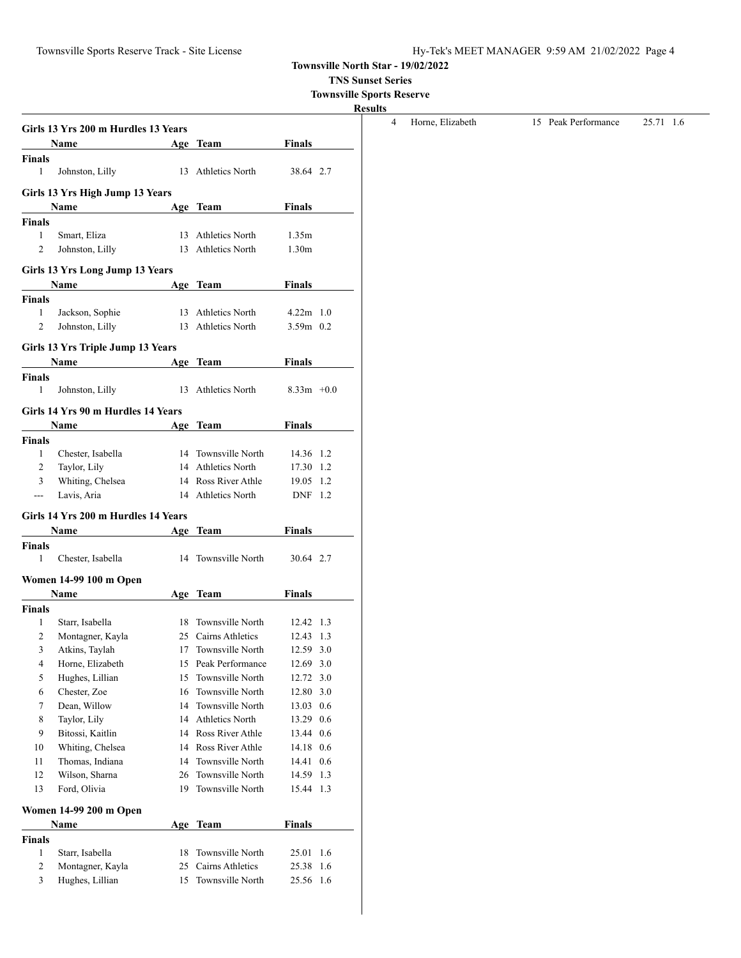**TNS Sunset Series**

**Townsville Sports Reserve**

|                                         | Girls 13 Yrs 200 m Hurdles 13 Years<br>Name |     | Age Team                                | Finals            |     |
|-----------------------------------------|---------------------------------------------|-----|-----------------------------------------|-------------------|-----|
| <b>Finals</b>                           |                                             |     |                                         |                   |     |
| $\mathbf{1}$                            | Johnston, Lilly                             |     | 13 Athletics North                      | 38.64 2.7         |     |
|                                         | Girls 13 Yrs High Jump 13 Years             |     |                                         |                   |     |
|                                         | Name                                        |     | Age Team                                | Finals            |     |
| <b>Finals</b>                           |                                             |     |                                         |                   |     |
| 1                                       | Smart, Eliza                                |     | 13 Athletics North                      | 1.35m             |     |
| 2                                       | Johnston, Lilly                             |     | 13 Athletics North                      | 1.30 <sub>m</sub> |     |
|                                         | Girls 13 Yrs Long Jump 13 Years             |     |                                         |                   |     |
|                                         | <b>Name</b>                                 |     | Age Team                                | <b>Finals</b>     |     |
| <b>Finals</b>                           |                                             |     |                                         |                   |     |
| 1                                       | Jackson, Sophie                             |     | 13 Athletics North                      | $4.22m$ 1.0       |     |
| 2                                       | Johnston, Lilly                             |     | 13 Athletics North                      | $3.59m$ 0.2       |     |
|                                         | Girls 13 Yrs Triple Jump 13 Years           |     |                                         |                   |     |
|                                         | Name                                        |     | Age Team                                | Finals            |     |
| <b>Finals</b>                           |                                             |     |                                         |                   |     |
| $\mathbf{1}$                            | Johnston, Lilly                             |     | 13 Athletics North                      | $8.33m +0.0$      |     |
|                                         |                                             |     |                                         |                   |     |
|                                         | Girls 14 Yrs 90 m Hurdles 14 Years          |     |                                         | Finals            |     |
| <b>Finals</b>                           | Name                                        |     | Age Team                                |                   |     |
| 1                                       | Chester, Isabella                           |     | 14 Townsville North                     | 14.36 1.2         |     |
| 2                                       | Taylor, Lily                                |     | 14 Athletics North                      | 17.30 1.2         |     |
|                                         |                                             |     | 14 Ross River Athle                     | 19.05 1.2         |     |
| 3                                       |                                             |     |                                         |                   |     |
| $\overline{a}$                          | Whiting, Chelsea<br>Lavis, Aria             |     | 14 Athletics North                      | DNF 1.2           |     |
|                                         |                                             |     |                                         |                   |     |
|                                         | Girls 14 Yrs 200 m Hurdles 14 Years         |     |                                         |                   |     |
|                                         | Name                                        |     | Age Team                                | Finals            |     |
| 1                                       |                                             |     | 14 Townsville North                     | 30.64 2.7         |     |
|                                         | Chester, Isabella                           |     |                                         |                   |     |
|                                         | Women 14-99 100 m Open                      |     |                                         |                   |     |
|                                         | Name                                        |     | Age Team                                | Finals            |     |
| 1                                       |                                             | 18. |                                         | 12.42 1.3         |     |
| 2                                       | Starr, Isabella                             |     | Townsville North<br>25 Cairns Athletics | 12.43 1.3         |     |
|                                         | Montagner, Kayla<br>Atkins, Taylah          | 17  | Townsville North                        | 12.59             | 3.0 |
| Finals<br>Finals<br>3<br>$\overline{4}$ | Horne, Elizabeth                            | 15  | Peak Performance                        | 12.69             | 3.0 |
| 5                                       | Hughes, Lillian                             | 15  | Townsville North                        | 12.72             | 3.0 |
| 6                                       | Chester, Zoe                                | 16  | Townsville North                        | 12.80             | 3.0 |
| 7                                       | Dean, Willow                                | 14  | Townsville North                        | 13.03 0.6         |     |
| 8                                       | Taylor, Lily                                |     | 14 Athletics North                      | 13.29 0.6         |     |
| 9                                       | Bitossi, Kaitlin                            |     | 14 Ross River Athle                     | 13.44 0.6         |     |
| 10                                      | Whiting, Chelsea                            |     | 14 Ross River Athle                     | 14.18 0.6         |     |
| 11                                      | Thomas, Indiana                             | 14  | Townsville North                        | 14.41             | 0.6 |
| 12                                      | Wilson, Sharna                              | 26  | Townsville North                        | 14.59             | 1.3 |
| 13                                      | Ford, Olivia                                | 19  | Townsville North                        | 15.44             | 1.3 |
|                                         |                                             |     |                                         |                   |     |
|                                         | Women 14-99 200 m Open<br>Name              |     | Age Team                                | <b>Finals</b>     |     |
| <b>Finals</b>                           |                                             |     |                                         |                   |     |
| 1                                       | Starr, Isabella                             | 18  | Townsville North                        | 25.01             | 1.6 |
| $\overline{2}$                          | Montagner, Kayla                            | 25  | Cairns Athletics                        | 25.38             | 1.6 |

| Horne, Elizabeth | 15 Peak Performance | 25.71 1.6 |
|------------------|---------------------|-----------|
|                  |                     |           |
|                  |                     |           |
|                  |                     |           |
|                  |                     |           |
|                  |                     |           |
|                  |                     |           |
|                  |                     |           |
|                  |                     |           |
|                  |                     |           |
|                  |                     |           |
|                  |                     |           |
|                  |                     |           |
|                  |                     |           |
|                  |                     |           |
|                  |                     |           |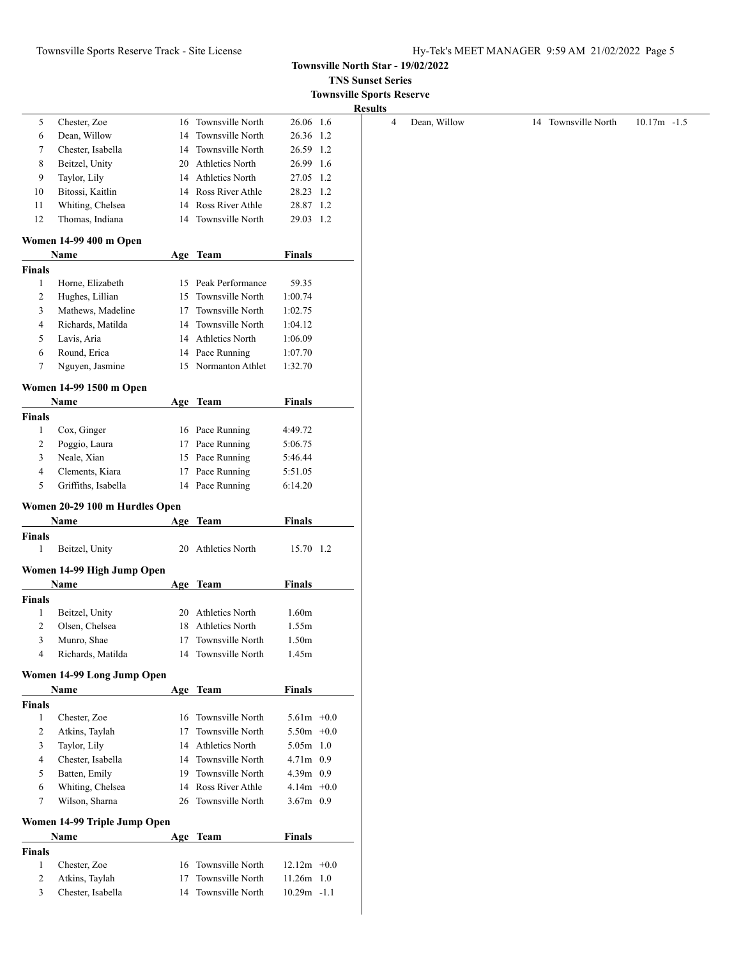# Townsville Sports Reserve Track - Site License Hy-Tek's MEET MANAGER 9:59 AM 21/02/2022 Page 5

**Townsville North Star - 19/02/2022**

**TNS Sunset Series**

|                                                |                                |    |                                      |               | <b>Townsville Sports Reserve</b> |                |              |                     |                |
|------------------------------------------------|--------------------------------|----|--------------------------------------|---------------|----------------------------------|----------------|--------------|---------------------|----------------|
|                                                |                                |    |                                      |               |                                  | <b>Results</b> |              |                     |                |
| 5                                              | Chester, Zoe                   |    | 16 Townsville North                  | 26.06 1.6     |                                  | 4              | Dean, Willow | 14 Townsville North | $10.17m - 1.5$ |
| 6                                              | Dean, Willow                   | 14 | Townsville North                     | 26.36 1.2     |                                  |                |              |                     |                |
| 7                                              | Chester, Isabella              | 14 | Townsville North                     | 26.59 1.2     |                                  |                |              |                     |                |
| 8                                              | Beitzel, Unity                 | 20 | <b>Athletics North</b>               | 26.99 1.6     |                                  |                |              |                     |                |
| 9                                              | Taylor, Lily                   | 14 | <b>Athletics North</b>               | 27.05 1.2     |                                  |                |              |                     |                |
| 10                                             | Bitossi, Kaitlin               | 14 | Ross River Athle                     | 28.23 1.2     |                                  |                |              |                     |                |
| 11                                             | Whiting, Chelsea               | 14 | Ross River Athle                     | 28.87 1.2     |                                  |                |              |                     |                |
| 12                                             | Thomas, Indiana                | 14 | Townsville North                     | 29.03 1.2     |                                  |                |              |                     |                |
|                                                |                                |    |                                      |               |                                  |                |              |                     |                |
|                                                | Women 14-99 400 m Open<br>Name |    | Age Team                             | <b>Finals</b> |                                  |                |              |                     |                |
| <b>Finals</b>                                  |                                |    |                                      |               |                                  |                |              |                     |                |
| $\mathbf{1}$                                   | Horne, Elizabeth               |    | 15 Peak Performance                  | 59.35         |                                  |                |              |                     |                |
| 2                                              | Hughes, Lillian                | 15 | Townsville North                     | 1:00.74       |                                  |                |              |                     |                |
|                                                |                                |    |                                      |               |                                  |                |              |                     |                |
| 3                                              | Mathews, Madeline              | 17 | Townsville North                     | 1:02.75       |                                  |                |              |                     |                |
| 4                                              | Richards, Matilda              | 14 | Townsville North                     | 1:04.12       |                                  |                |              |                     |                |
| 5                                              | Lavis, Aria                    | 14 | <b>Athletics North</b>               | 1:06.09       |                                  |                |              |                     |                |
| 6                                              | Round, Erica                   |    | 14 Pace Running                      | 1:07.70       |                                  |                |              |                     |                |
| 7                                              | Nguyen, Jasmine                |    | 15 Normanton Athlet                  | 1:32.70       |                                  |                |              |                     |                |
|                                                | Women 14-99 1500 m Open        |    |                                      |               |                                  |                |              |                     |                |
|                                                | Name                           |    | Age Team                             | <b>Finals</b> |                                  |                |              |                     |                |
| <b>Finals</b>                                  |                                |    |                                      |               |                                  |                |              |                     |                |
| $\mathbf{1}$                                   | Cox, Ginger                    |    | 16 Pace Running                      | 4:49.72       |                                  |                |              |                     |                |
| 2                                              | Poggio, Laura                  | 17 | Pace Running                         | 5:06.75       |                                  |                |              |                     |                |
| 3                                              | Neale, Xian                    | 15 | Pace Running                         | 5:46.44       |                                  |                |              |                     |                |
| 4                                              | Clements, Kiara                |    | 17 Pace Running                      | 5:51.05       |                                  |                |              |                     |                |
| 5                                              | Griffiths, Isabella            |    | 14 Pace Running                      | 6:14.20       |                                  |                |              |                     |                |
|                                                | Women 20-29 100 m Hurdles Open |    |                                      |               |                                  |                |              |                     |                |
|                                                | Name                           |    | Age Team                             | <b>Finals</b> |                                  |                |              |                     |                |
| <b>Finals</b>                                  |                                |    |                                      |               |                                  |                |              |                     |                |
|                                                |                                |    |                                      |               |                                  |                |              |                     |                |
|                                                |                                |    |                                      |               |                                  |                |              |                     |                |
| 1                                              | Beitzel, Unity                 |    | 20 Athletics North                   | 15.70 1.2     |                                  |                |              |                     |                |
|                                                | Women 14-99 High Jump Open     |    |                                      |               |                                  |                |              |                     |                |
|                                                | Name                           |    | Age Team                             | <b>Finals</b> |                                  |                |              |                     |                |
| Finals                                         |                                |    |                                      |               |                                  |                |              |                     |                |
| 1                                              | Beitzel, Unity                 | 20 | <b>Athletics North</b>               | 1.60m         |                                  |                |              |                     |                |
| 2                                              | Olsen, Chelsea                 |    | 18 Athletics North                   | 1.55m         |                                  |                |              |                     |                |
| 3                                              |                                | 17 |                                      |               |                                  |                |              |                     |                |
| 4                                              | Munro, Shae                    | 14 | Townsville North<br>Townsville North | 1.50m         |                                  |                |              |                     |                |
|                                                | Richards, Matilda              |    |                                      | 1.45m         |                                  |                |              |                     |                |
|                                                | Women 14-99 Long Jump Open     |    |                                      |               |                                  |                |              |                     |                |
|                                                | <b>Name</b>                    |    | Age Team                             | <b>Finals</b> |                                  |                |              |                     |                |
|                                                |                                |    |                                      |               |                                  |                |              |                     |                |
| 1                                              | Chester, Zoe                   |    | 16 Townsville North                  | $5.61m + 0.0$ |                                  |                |              |                     |                |
| 2                                              | Atkins, Taylah                 | 17 | Townsville North                     | $5.50m + 0.0$ |                                  |                |              |                     |                |
| 3                                              | Taylor, Lily                   | 14 | Athletics North                      | $5.05m$ 1.0   |                                  |                |              |                     |                |
| 4                                              | Chester, Isabella              | 14 | Townsville North                     | 4.71m 0.9     |                                  |                |              |                     |                |
| 5                                              | Batten, Emily                  | 19 | Townsville North                     | 4.39m 0.9     |                                  |                |              |                     |                |
| 6                                              | Whiting, Chelsea               | 14 | Ross River Athle                     | $4.14m + 0.0$ |                                  |                |              |                     |                |
| 7                                              | Wilson, Sharna                 | 26 | Townsville North                     | 3.67m 0.9     |                                  |                |              |                     |                |
|                                                | Women 14-99 Triple Jump Open   |    |                                      |               |                                  |                |              |                     |                |
|                                                | <b>Name</b>                    |    | Age Team                             | <b>Finals</b> |                                  |                |              |                     |                |
|                                                |                                |    |                                      |               |                                  |                |              |                     |                |
| <b>Finals</b><br><b>Finals</b><br>$\mathbf{1}$ | Chester, Zoe                   | 16 | Townsville North                     | $12.12m +0.0$ |                                  |                |              |                     |                |
| 2                                              | Atkins, Taylah                 | 17 | Townsville North                     | $11.26m$ 1.0  |                                  |                |              |                     |                |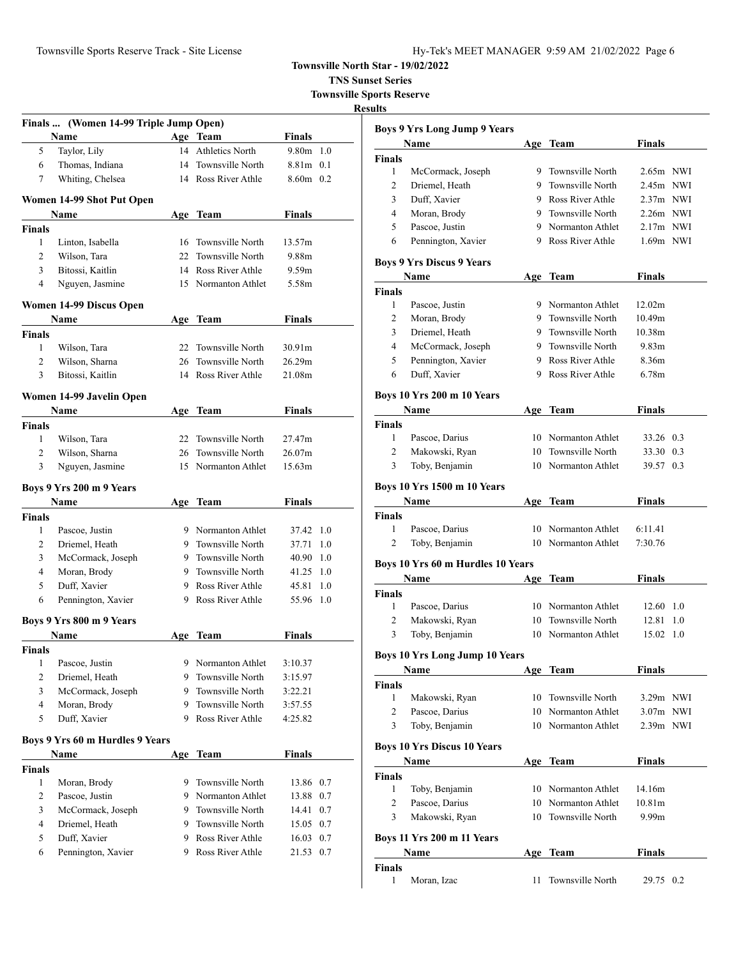| Townsville Sports Reserve Track - Site License | Hy-Tek's MEET MANAGER 9:59 AM 21/02/2022 Page 6 |
|------------------------------------------------|-------------------------------------------------|

**TNS Sunset Series Townsville Sports Reserve**

|                    | Finals  (Women 14-99 Triple Jump Open)<br>Name | Age Team            | <b>Finals</b>      |     |
|--------------------|------------------------------------------------|---------------------|--------------------|-----|
| 5                  | Taylor, Lily                                   | 14 Athletics North  | $9.80m$ 1.0        |     |
| 6                  | Thomas, Indiana                                | 14 Townsville North | 8.81m 0.1          |     |
| 7                  | Whiting, Chelsea                               | 14 Ross River Athle | $8.60m$ 0.2        |     |
|                    | Women 14-99 Shot Put Open                      |                     |                    |     |
|                    | Name                                           | Age Team            | <b>Finals</b>      |     |
| Finals             |                                                |                     |                    |     |
| 1                  | Linton, Isabella                               | 16 Townsville North | 13.57m             |     |
| $\overline{c}$     | Wilson, Tara                                   | 22 Townsville North | 9.88m              |     |
| 3                  | Bitossi, Kaitlin                               | 14 Ross River Athle | 9.59m              |     |
| 4                  | Nguyen, Jasmine                                | 15 Normanton Athlet | 5.58m              |     |
|                    | Women 14-99 Discus Open                        |                     |                    |     |
|                    | Name                                           | Age Team            | Finals             |     |
| <b>Finals</b><br>1 | Wilson, Tara                                   | 22 Townsville North | 30.91 <sub>m</sub> |     |
| $\overline{2}$     | Wilson, Sharna                                 | 26 Townsville North | 26.29m             |     |
| 3                  | Bitossi, Kaitlin                               | 14 Ross River Athle | 21.08m             |     |
|                    |                                                |                     |                    |     |
|                    | Women 14-99 Javelin Open<br>Name               | Age Team            | Finals             |     |
| <b>Finals</b>      |                                                |                     |                    |     |
| 1                  | Wilson, Tara                                   | 22 Townsville North | 27.47m             |     |
| 2                  | Wilson, Sharna                                 | 26 Townsville North | 26.07m             |     |
| 3                  | Nguyen, Jasmine                                | 15 Normanton Athlet | 15.63m             |     |
|                    | Boys 9 Yrs 200 m 9 Years                       |                     |                    |     |
|                    | Name                                           | Age Team            | <b>Finals</b>      |     |
| <b>Finals</b>      |                                                |                     |                    |     |
| $\mathbf{1}$       | Pascoe, Justin                                 | 9 Normanton Athlet  | 37.42 1.0          |     |
| 2                  | Driemel, Heath                                 | 9 Townsville North  | 37.71              | 1.0 |
| 3                  | McCormack, Joseph                              | 9 Townsville North  | 40.90 1.0          |     |
| 4                  | Moran, Brody                                   | 9 Townsville North  | 41.25 1.0          |     |
| 5                  | Duff, Xavier                                   | 9 Ross River Athle  | 45.81              | 1.0 |
| 6                  | Pennington, Xavier                             | 9 Ross River Athle  | 55.96              | 1.0 |
|                    | Boys 9 Yrs 800 m 9 Years                       |                     |                    |     |
|                    | Name                                           | Age Team            | Finals             |     |
| Finals<br>1        | Pascoe, Justin                                 | 9 Normanton Athlet  | 3:10.37            |     |
| $\overline{c}$     | Driemel, Heath                                 | 9 Townsville North  | 3:15.97            |     |
| 3                  | McCormack, Joseph                              | 9 Townsville North  | 3:22.21            |     |
| 4                  | Moran, Brody                                   | 9 Townsville North  | 3:57.55            |     |
| 5                  | Duff, Xavier                                   | 9 Ross River Athle  | 4:25.82            |     |
|                    |                                                |                     |                    |     |
|                    | Boys 9 Yrs 60 m Hurdles 9 Years<br>Name        | Age Team            | Finals             |     |
|                    |                                                |                     |                    |     |
|                    | Moran, Brody                                   | 9 Townsville North  | 13.86              | 0.7 |
| <b>Finals</b><br>1 |                                                | 9 Normanton Athlet  | 13.88              | 0.7 |
| $\overline{c}$     | Pascoe, Justin                                 |                     |                    |     |
| 3                  |                                                | 9 Townsville North  | 14.41              | 0.7 |
| 4                  | McCormack, Joseph<br>Driemel, Heath            | 9 Townsville North  | 15.05 0.7          |     |
| 5                  | Duff. Xavier                                   | 9 Ross River Athle  | 16.03 0.7          |     |

|                | <b>Boys 9 Yrs Long Jump 9 Years</b>   |     |                     |                    |     |
|----------------|---------------------------------------|-----|---------------------|--------------------|-----|
|                | Name                                  |     | Age Team            | Finals             |     |
| Finals         |                                       |     |                     |                    |     |
| 1              | McCormack, Joseph                     |     | 9 Townsville North  | 2.65m NWI          |     |
| 2              | Driemel, Heath                        |     | 9 Townsville North  | 2.45m NWI          |     |
| 3              | Duff, Xavier                          |     | 9 Ross River Athle  | 2.37m NWI          |     |
| 4              | Moran, Brody                          |     | 9 Townsville North  | 2.26m NWI          |     |
| 5              | Pascoe, Justin                        |     | 9 Normanton Athlet  | $2.17m$ NWI        |     |
| 6              | Pennington, Xavier                    |     | 9 Ross River Athle  | $1.69m$ NWI        |     |
|                | <b>Boys 9 Yrs Discus 9 Years</b>      |     |                     |                    |     |
|                | Name                                  |     | Age Team            | Finals             |     |
| Finals         |                                       |     |                     |                    |     |
| 1              | Pascoe, Justin                        |     | 9 Normanton Athlet  | 12.02m             |     |
| 2              | Moran, Brody                          |     | 9 Townsville North  | 10.49m             |     |
| 3              | Driemel, Heath                        | 9.  | Townsville North    | 10.38 <sub>m</sub> |     |
| 4              | McCormack, Joseph                     |     | 9 Townsville North  | 9.83 <sub>m</sub>  |     |
| 5              | Pennington, Xavier                    |     | 9 Ross River Athle  | 8.36m              |     |
| 6              | Duff, Xavier                          |     | 9 Ross River Athle  | 6.78m              |     |
|                | Boys 10 Yrs 200 m 10 Years            |     |                     |                    |     |
|                | Name                                  | Age | Team                | Finals             |     |
| <b>Finals</b>  |                                       |     |                     |                    |     |
| 1              | Pascoe, Darius                        |     | 10 Normanton Athlet | 33.26 0.3          |     |
| 2              | Makowski, Ryan                        |     | 10 Townsville North | 33.30 0.3          |     |
| 3              | Toby, Benjamin                        |     | 10 Normanton Athlet | 39.57 0.3          |     |
|                |                                       |     |                     |                    |     |
|                | <b>Boys 10 Yrs 1500 m 10 Years</b>    |     |                     |                    |     |
|                | Name                                  |     | Age Team            | <b>Finals</b>      |     |
| <b>Finals</b>  |                                       |     |                     |                    |     |
| 1              | Pascoe, Darius                        |     | 10 Normanton Athlet | 6:11.41            |     |
| 2              | Toby, Benjamin                        |     | 10 Normanton Athlet | 7:30.76            |     |
|                | Boys 10 Yrs 60 m Hurdles 10 Years     |     |                     |                    |     |
|                | Name                                  |     | Age Team            | Finals             |     |
| Finals         |                                       |     |                     |                    |     |
| 1              | Pascoe, Darius                        |     | 10 Normanton Athlet | $12.60 \quad 1.0$  |     |
| 2              | Makowski, Ryan                        | 10  | Townsville North    | 12.81              | 1.0 |
| 3              | Toby, Benjamin                        | 10  | Normanton Athlet    | 15.02 1.0          |     |
|                | <b>Boys 10 Yrs Long Jump 10 Years</b> |     |                     |                    |     |
|                | Name                                  |     | Age Team            | <b>Finals</b>      |     |
| Finals         |                                       |     |                     |                    |     |
| $\mathbf{1}$   | Makowski, Ryan                        | 10  | Townsville North    | $3.29m$ NWI        |     |
| 2              | Pascoe, Darius                        |     | 10 Normanton Athlet | 3.07m NWI          |     |
| 3              | Toby, Benjamin                        |     | 10 Normanton Athlet | 2.39m NWI          |     |
|                | <b>Boys 10 Yrs Discus 10 Years</b>    |     |                     |                    |     |
|                | Name                                  |     | Age Team            | <b>Finals</b>      |     |
| <b>Finals</b>  |                                       |     |                     |                    |     |
| 1              | Toby, Benjamin                        |     | 10 Normanton Athlet | 14.16m             |     |
| $\overline{c}$ | Pascoe, Darius                        | 10  | Normanton Athlet    | 10.81 <sub>m</sub> |     |
| 3              | Makowski, Ryan                        | 10  | Townsville North    | 9.99m              |     |
|                |                                       |     |                     |                    |     |
|                | Boys 11 Yrs 200 m 11 Years            |     |                     |                    |     |
|                | Name                                  | Age | Team                | Finals             |     |
| Finals         |                                       |     |                     |                    |     |
| 1              | Moran, Izac                           | 11  | Townsville North    | 29.75 0.2          |     |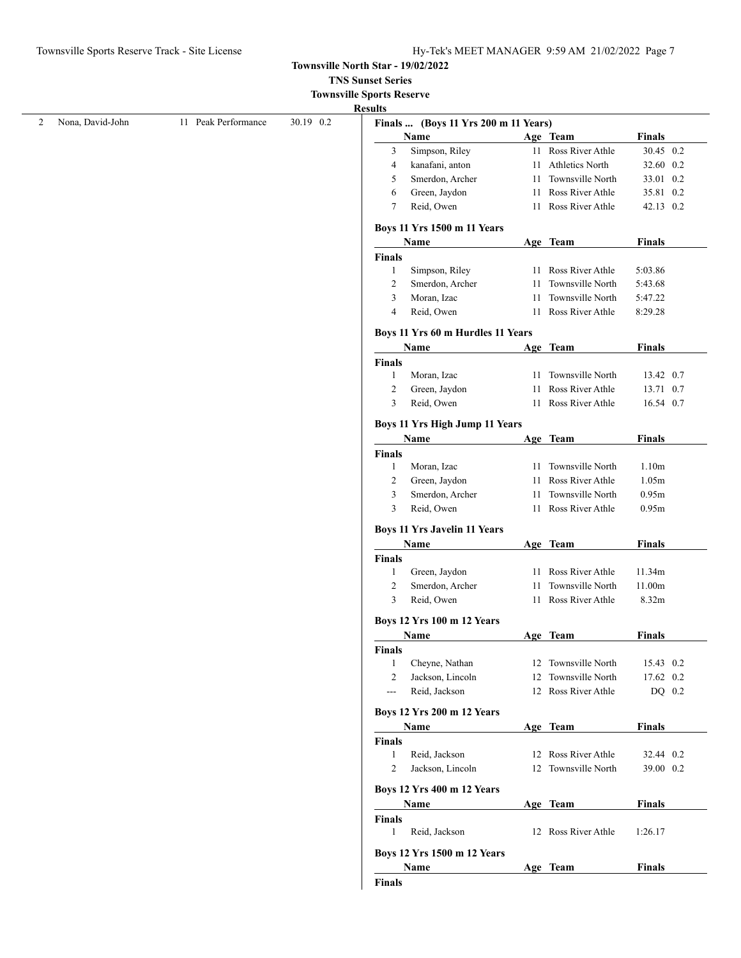**TNS Sunset Series**

|  | <b>Townsville Sports Reserve</b> |
|--|----------------------------------|
|--|----------------------------------|

|                  |                     |           | <b>Results</b>     |                                               |    |                     |               |  |
|------------------|---------------------|-----------|--------------------|-----------------------------------------------|----|---------------------|---------------|--|
| Nona, David-John | 11 Peak Performance | 30.19 0.2 |                    | Finals  (Boys 11 Yrs 200 m 11 Years)          |    |                     |               |  |
|                  |                     |           |                    | Name                                          |    | Age Team            | <b>Finals</b> |  |
|                  |                     |           | 3                  | Simpson, Riley                                |    | 11 Ross River Athle | 30.45 0.2     |  |
|                  |                     |           | 4                  | kanafani, anton                               |    | 11 Athletics North  | 32.60 0.2     |  |
|                  |                     |           | 5                  | Smerdon, Archer                               |    | 11 Townsville North | 33.01 0.2     |  |
|                  |                     |           | 6                  | Green, Jaydon                                 |    | 11 Ross River Athle | 35.81 0.2     |  |
|                  |                     |           | 7                  | Reid, Owen                                    |    | 11 Ross River Athle | 42.13 0.2     |  |
|                  |                     |           |                    | <b>Boys 11 Yrs 1500 m 11 Years</b>            |    |                     |               |  |
|                  |                     |           |                    | Name                                          |    | Age Team            | <b>Finals</b> |  |
|                  |                     |           | Finals             |                                               |    |                     |               |  |
|                  |                     |           | $\mathbf{1}$       | Simpson, Riley                                |    | 11 Ross River Athle | 5:03.86       |  |
|                  |                     |           | $\overline{c}$     | Smerdon, Archer                               | 11 | Townsville North    | 5:43.68       |  |
|                  |                     |           | 3                  | Moran, Izac                                   | 11 | Townsville North    | 5:47.22       |  |
|                  |                     |           | 4                  | Reid, Owen                                    |    | 11 Ross River Athle | 8:29.28       |  |
|                  |                     |           |                    | Boys 11 Yrs 60 m Hurdles 11 Years             |    |                     |               |  |
|                  |                     |           |                    | Name                                          |    | Age Team            | <b>Finals</b> |  |
|                  |                     |           | <b>Finals</b>      |                                               |    |                     |               |  |
|                  |                     |           | 1                  | Moran, Izac                                   |    | 11 Townsville North | 13.42 0.7     |  |
|                  |                     |           | $\overline{c}$     | Green, Jaydon                                 |    | 11 Ross River Athle | 13.71 0.7     |  |
|                  |                     |           | 3                  | Reid, Owen                                    |    | 11 Ross River Athle | 16.54 0.7     |  |
|                  |                     |           |                    |                                               |    |                     |               |  |
|                  |                     |           |                    | <b>Boys 11 Yrs High Jump 11 Years</b><br>Name |    | Age Team            | <b>Finals</b> |  |
|                  |                     |           | Finals             |                                               |    |                     |               |  |
|                  |                     |           | 1                  | Moran, Izac                                   |    | 11 Townsville North | 1.10m         |  |
|                  |                     |           | $\overline{c}$     | Green, Jaydon                                 |    | 11 Ross River Athle | 1.05m         |  |
|                  |                     |           |                    |                                               |    |                     |               |  |
|                  |                     |           | 3                  | Smerdon, Archer                               |    | 11 Townsville North | 0.95m         |  |
|                  |                     |           | 3                  | Reid, Owen                                    |    | 11 Ross River Athle | 0.95m         |  |
|                  |                     |           |                    | <b>Boys 11 Yrs Javelin 11 Years</b>           |    |                     |               |  |
|                  |                     |           |                    | Name                                          |    | Age Team            | <b>Finals</b> |  |
|                  |                     |           | Finals             |                                               |    |                     |               |  |
|                  |                     |           | $\mathbf{1}$       | Green, Jaydon                                 |    | 11 Ross River Athle | 11.34m        |  |
|                  |                     |           | $\overline{c}$     | Smerdon, Archer                               | 11 | Townsville North    | 11.00m        |  |
|                  |                     |           | 3                  | Reid, Owen                                    |    | 11 Ross River Athle | 8.32m         |  |
|                  |                     |           |                    | <b>Boys 12 Yrs 100 m 12 Years</b>             |    |                     |               |  |
|                  |                     |           |                    | Name                                          |    | Age Team            | <b>Finals</b> |  |
|                  |                     |           | <b>Finals</b>      |                                               |    |                     |               |  |
|                  |                     |           | $\mathbf{1}$       | Cheyne, Nathan                                |    | 12 Townsville North | 15.43 0.2     |  |
|                  |                     |           | $\overline{c}$     | Jackson, Lincoln                              |    | 12 Townsville North | 17.62 0.2     |  |
|                  |                     |           | ---                | Reid, Jackson                                 |    | 12 Ross River Athle | DQ 0.2        |  |
|                  |                     |           |                    | <b>Boys 12 Yrs 200 m 12 Years</b>             |    |                     |               |  |
|                  |                     |           |                    | Name                                          |    | Age Team            | <b>Finals</b> |  |
|                  |                     |           | Finals             |                                               |    |                     |               |  |
|                  |                     |           | $\mathbf{1}$       | Reid, Jackson                                 |    | 12 Ross River Athle | 32.44 0.2     |  |
|                  |                     |           | $\overline{2}$     | Jackson, Lincoln                              |    | 12 Townsville North | 39.00 0.2     |  |
|                  |                     |           |                    |                                               |    |                     |               |  |
|                  |                     |           |                    |                                               |    |                     |               |  |
|                  |                     |           |                    | <b>Boys 12 Yrs 400 m 12 Years</b>             |    |                     |               |  |
|                  |                     |           |                    | Name                                          |    | Age Team            | <b>Finals</b> |  |
|                  |                     |           | <b>Finals</b><br>1 | Reid, Jackson                                 |    | 12 Ross River Athle | 1:26.17       |  |
|                  |                     |           |                    |                                               |    |                     |               |  |
|                  |                     |           |                    | Boys 12 Yrs 1500 m 12 Years<br>Name           |    | Age Team            | <b>Finals</b> |  |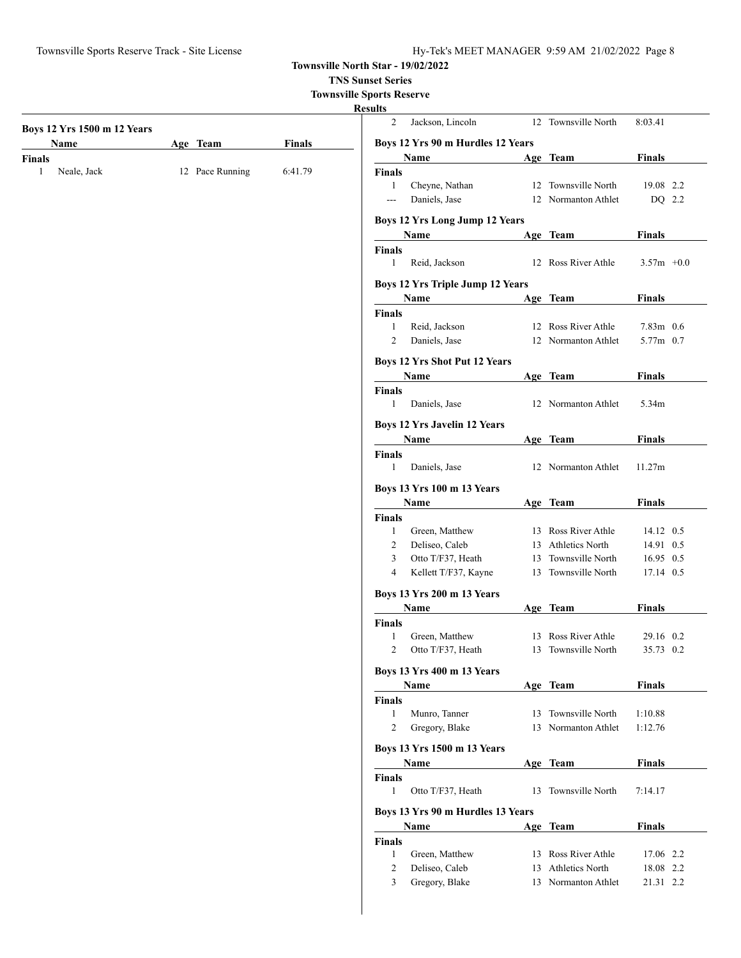Townsville Sports Reserve Track - Site License Hy-Tek's MEET MANAGER 9:59 AM 21/02/2022 Page 8

**Townsville North Star - 19/02/2022**

**TNS Sunset Series**

**Townsville Sports Reserve**

|                                                                                     |  |         | <b>Results</b> |                                             |    |                     |               |
|-------------------------------------------------------------------------------------|--|---------|----------------|---------------------------------------------|----|---------------------|---------------|
|                                                                                     |  |         | $\overline{2}$ | Jackson, Lincoln                            |    | 12 Townsville North | 8:03.41       |
|                                                                                     |  |         |                | Boys 12 Yrs 90 m Hurdles 12 Years           |    |                     |               |
| <b>Finals</b>                                                                       |  |         |                | Name                                        |    | Age Team            | <b>Finals</b> |
| $\mathbf{1}$<br>Neale, Jack                                                         |  | 6:41.79 | <b>Finals</b>  |                                             |    |                     |               |
|                                                                                     |  |         | 1              | Cheyne, Nathan                              |    | 12 Townsville North | 19.08 2.2     |
|                                                                                     |  |         | $\overline{a}$ | Daniels, Jase                               |    | 12 Normanton Athlet | DQ 2.2        |
|                                                                                     |  |         |                | <b>Boys 12 Yrs Long Jump 12 Years</b>       |    |                     |               |
|                                                                                     |  |         |                | Name                                        |    | Age Team            | <b>Finals</b> |
|                                                                                     |  |         | <b>Finals</b>  |                                             |    |                     |               |
|                                                                                     |  |         | $\mathbf{1}$   | Reid, Jackson                               |    | 12 Ross River Athle | $3.57m +0.0$  |
|                                                                                     |  |         |                | <b>Boys 12 Yrs Triple Jump 12 Years</b>     |    |                     |               |
|                                                                                     |  |         |                | Name                                        |    | Age Team            | <b>Finals</b> |
|                                                                                     |  |         | Finals         |                                             |    |                     |               |
|                                                                                     |  |         | 1              | Reid, Jackson                               |    | 12 Ross River Athle | $7.83m$ 0.6   |
|                                                                                     |  |         | 2              | Daniels, Jase                               |    | 12 Normanton Athlet | 5.77m 0.7     |
|                                                                                     |  |         |                | <b>Boys 12 Yrs Shot Put 12 Years</b>        |    |                     |               |
|                                                                                     |  |         |                | Name                                        |    | Age Team            | <b>Finals</b> |
|                                                                                     |  |         | Finals         |                                             |    |                     |               |
|                                                                                     |  |         | $\mathbf{1}$   | Daniels, Jase                               |    | 12 Normanton Athlet | 5.34m         |
|                                                                                     |  |         |                |                                             |    |                     |               |
|                                                                                     |  |         |                | <b>Boys 12 Yrs Javelin 12 Years</b><br>Name |    | Age Team            | <b>Finals</b> |
|                                                                                     |  |         | <b>Finals</b>  |                                             |    |                     |               |
|                                                                                     |  |         | $\mathbf{1}$   | Daniels, Jase                               |    | 12 Normanton Athlet | 11.27m        |
| Boys 12 Yrs 1500 m 12 Years<br>Name<br>Age Team<br><b>Finals</b><br>12 Pace Running |  |         |                |                                             |    |                     |               |
|                                                                                     |  |         |                | <b>Boys 13 Yrs 100 m 13 Years</b><br>Name   |    | Age Team            | <b>Finals</b> |
|                                                                                     |  |         | Finals         |                                             |    |                     |               |
|                                                                                     |  |         | 1              | Green, Matthew                              |    | 13 Ross River Athle | 14.12 0.5     |
|                                                                                     |  |         | $\overline{c}$ | Deliseo, Caleb                              |    | 13 Athletics North  | 14.91 0.5     |
|                                                                                     |  |         | 3              | Otto T/F37, Heath                           | 13 | Townsville North    | 16.95 0.5     |
|                                                                                     |  |         | 4              | Kellett T/F37, Kayne                        |    | 13 Townsville North | 17.14 0.5     |
|                                                                                     |  |         |                | <b>Boys 13 Yrs 200 m 13 Years</b>           |    |                     |               |
|                                                                                     |  |         |                | Name                                        |    | Age Team            | <b>Finals</b> |
|                                                                                     |  |         | <b>Finals</b>  |                                             |    |                     |               |
|                                                                                     |  |         | 1              | Green, Matthew                              |    | 13 Ross River Athle | 29.16 0.2     |
|                                                                                     |  |         | 2              | Otto T/F37, Heath                           |    | 13 Townsville North | 35.73 0.2     |
|                                                                                     |  |         |                | <b>Boys 13 Yrs 400 m 13 Years</b>           |    |                     |               |
|                                                                                     |  |         |                | Name                                        |    | Age Team            | <b>Finals</b> |
|                                                                                     |  |         | <b>Finals</b>  |                                             |    |                     |               |
|                                                                                     |  |         | 1              | Munro, Tanner                               |    | 13 Townsville North | 1:10.88       |
|                                                                                     |  |         | 2              | Gregory, Blake                              |    | 13 Normanton Athlet | 1:12.76       |
|                                                                                     |  |         |                |                                             |    |                     |               |
|                                                                                     |  |         |                | Boys 13 Yrs 1500 m 13 Years<br><b>Name</b>  |    | Age Team            | <b>Finals</b> |
|                                                                                     |  |         | Finals         |                                             |    |                     |               |
|                                                                                     |  |         | 1              | Otto T/F37, Heath                           |    | 13 Townsville North | 7:14.17       |
|                                                                                     |  |         |                |                                             |    |                     |               |
|                                                                                     |  |         |                | Boys 13 Yrs 90 m Hurdles 13 Years           |    |                     |               |
|                                                                                     |  |         |                | Name                                        |    | Age Team            | <b>Finals</b> |
|                                                                                     |  |         | <b>Finals</b>  | Green, Matthew                              |    | 13 Ross River Athle | 17.06 2.2     |
|                                                                                     |  |         | $\mathbf{1}$   | Deliseo, Caleb                              |    | 13 Athletics North  | 18.08 2.2     |
|                                                                                     |  |         | 2<br>3         | Gregory, Blake                              |    | 13 Normanton Athlet | 21.31 2.2     |
|                                                                                     |  |         |                |                                             |    |                     |               |
|                                                                                     |  |         |                |                                             |    |                     |               |